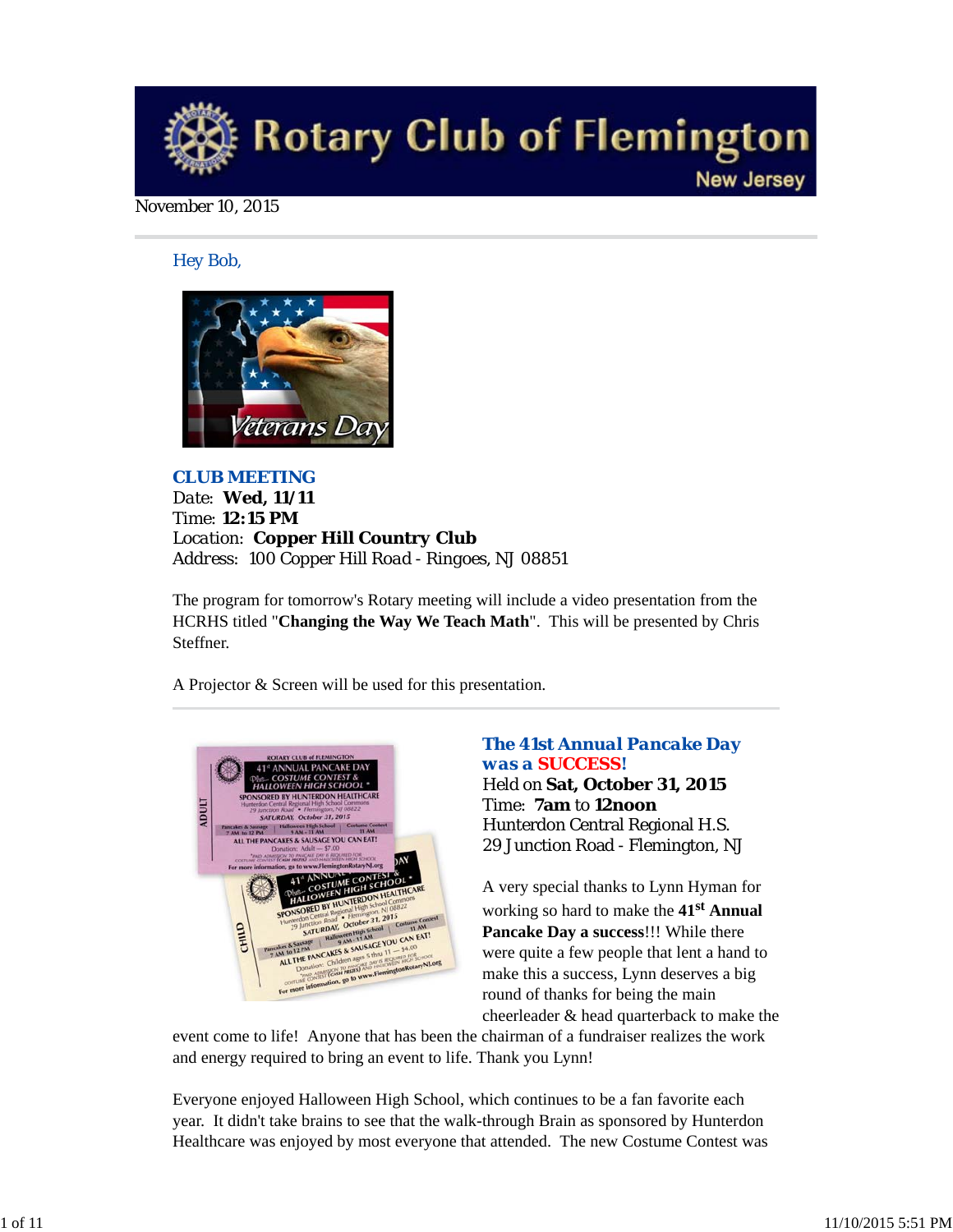

#### November 10, 2015

*Hey Bob,* 



*CLUB MEETING Date: Wed, 11/11 Time: 12:15 PM Location: Copper Hill Country Club Address: 100 Copper Hill Road - Ringoes, NJ 08851*

The program for tomorrow's Rotary meeting will include a video presentation from the HCRHS titled "**Changing the Way We Teach Math**". This will be presented by Chris Steffner.

A Projector & Screen will be used for this presentation.



## *The 41st Annual Pancake Day was a SUCCESS!* Held on **Sat, October 31, 2015** Time: **7am** to **12noon** Hunterdon Central Regional H.S. 29 Junction Road - Flemington, NJ

A very special thanks to Lynn Hyman for working so hard to make the **41st Annual Pancake Day a success**!!! While there were quite a few people that lent a hand to make this a success, Lynn deserves a big round of thanks for being the main cheerleader & head quarterback to make the

event come to life! Anyone that has been the chairman of a fundraiser realizes the work and energy required to bring an event to life. Thank you Lynn!

Everyone enjoyed Halloween High School, which continues to be a fan favorite each year. It didn't take brains to see that the walk-through Brain as sponsored by Hunterdon Healthcare was enjoyed by most everyone that attended. The new Costume Contest was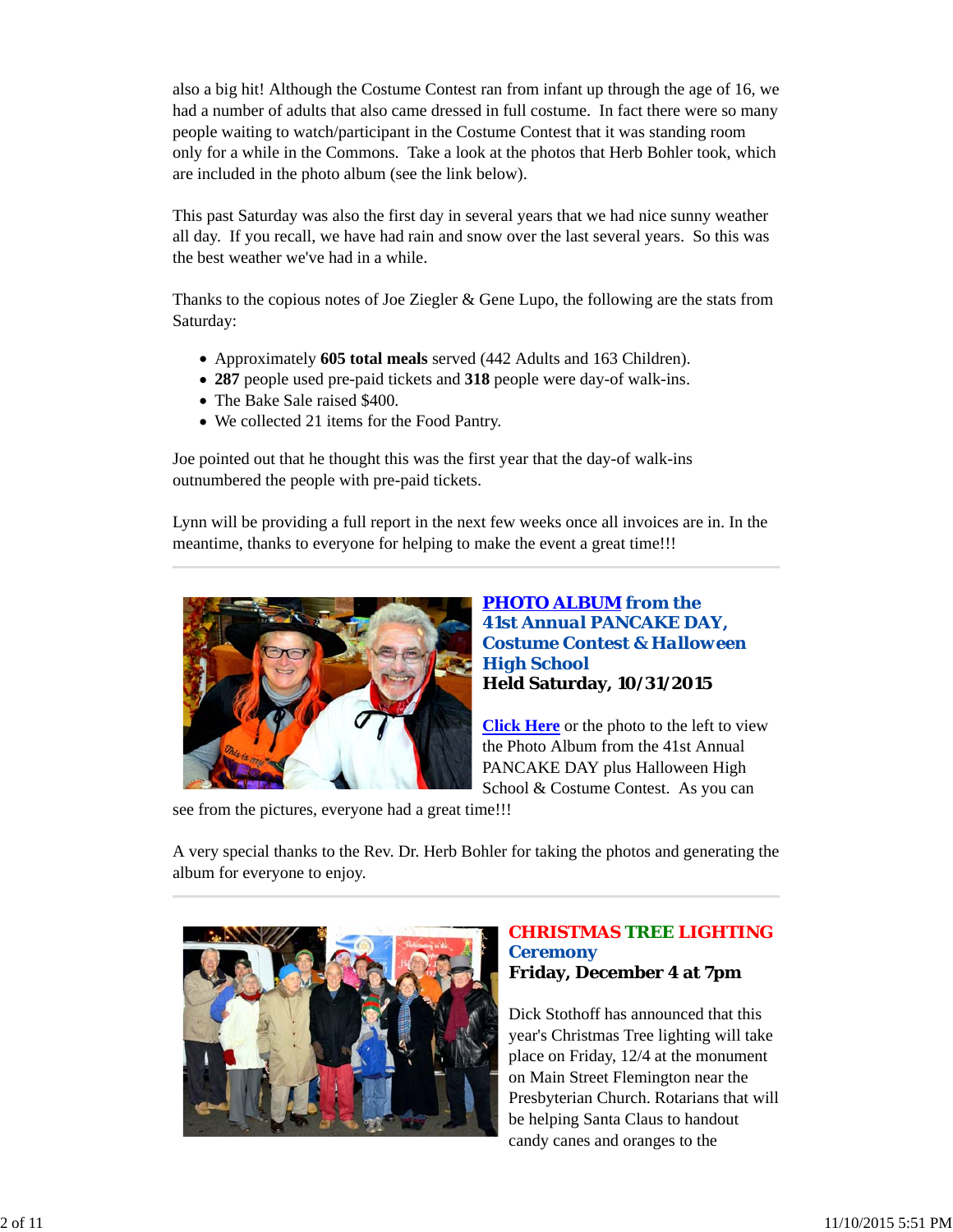also a big hit! Although the Costume Contest ran from infant up through the age of 16, we had a number of adults that also came dressed in full costume. In fact there were so many people waiting to watch/participant in the Costume Contest that it was standing room only for a while in the Commons. Take a look at the photos that Herb Bohler took, which are included in the photo album (see the link below).

This past Saturday was also the first day in several years that we had nice sunny weather all day. If you recall, we have had rain and snow over the last several years. So this was the best weather we've had in a while.

Thanks to the copious notes of Joe Ziegler  $\&$  Gene Lupo, the following are the stats from Saturday:

- Approximately **605 total meals** served (442 Adults and 163 Children).
- **287** people used pre-paid tickets and **318** people were day-of walk-ins.
- The Bake Sale raised \$400.
- We collected 21 items for the Food Pantry.

Joe pointed out that he thought this was the first year that the day-of walk-ins outnumbered the people with pre-paid tickets.

Lynn will be providing a full report in the next few weeks once all invoices are in. In the meantime, thanks to everyone for helping to make the event a great time!!!



*PHOTO ALBUM from the 41st Annual PANCAKE DAY, Costume Contest & Halloween High School* **Held Saturday, 10/31/2015**

**Click Here** or the photo to the left to view the Photo Album from the 41st Annual PANCAKE DAY plus Halloween High School & Costume Contest. As you can

see from the pictures, everyone had a great time!!!

A very special thanks to the Rev. Dr. Herb Bohler for taking the photos and generating the album for everyone to enjoy.



## *CHRISTMAS TREE LIGHTING Ceremony* **Friday, December 4 at 7pm**

Dick Stothoff has announced that this year's Christmas Tree lighting will take place on Friday, 12/4 at the monument on Main Street Flemington near the Presbyterian Church. Rotarians that will be helping Santa Claus to handout candy canes and oranges to the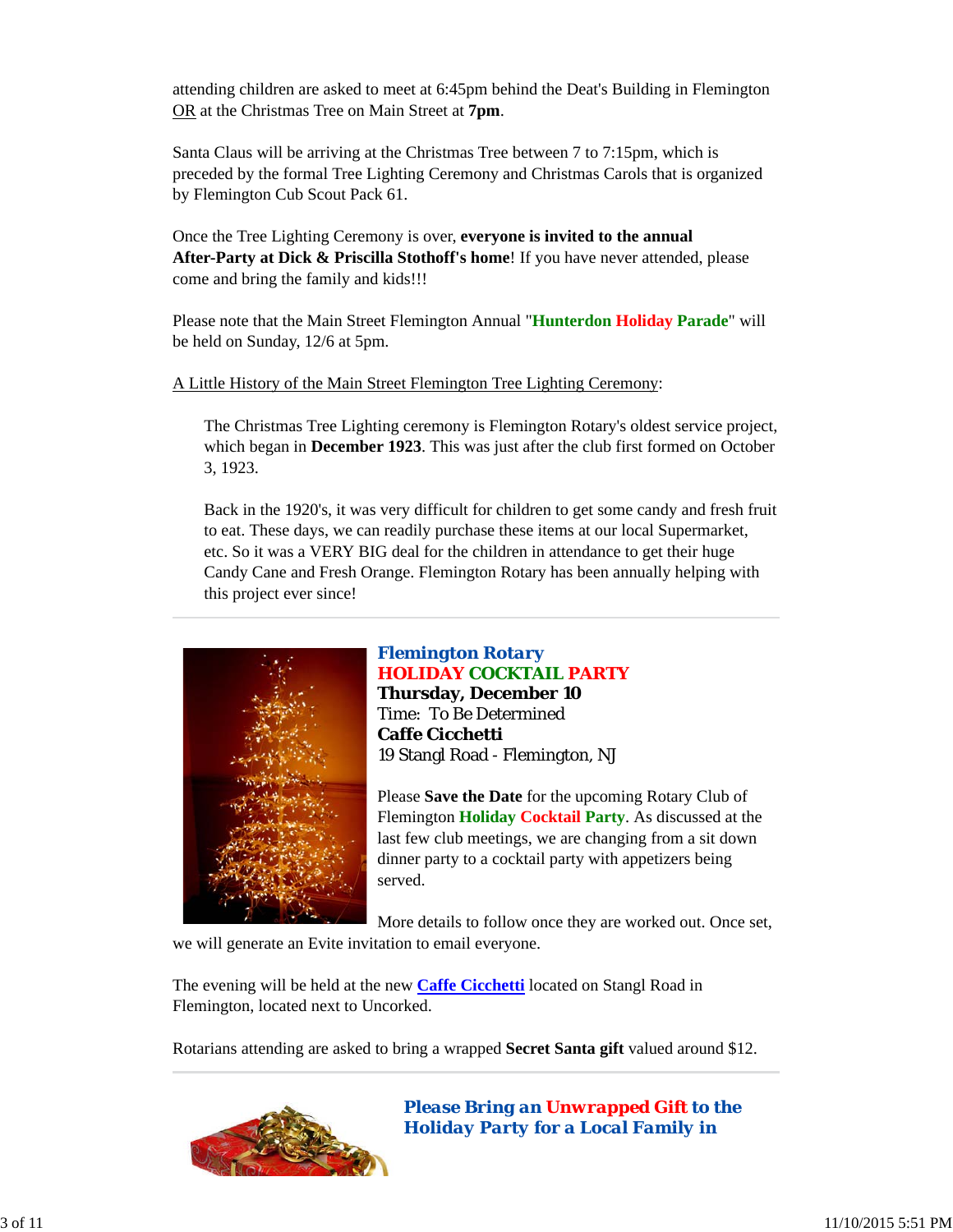attending children are asked to meet at 6:45pm behind the Deat's Building in Flemington OR at the Christmas Tree on Main Street at **7pm**.

Santa Claus will be arriving at the Christmas Tree between 7 to 7:15pm, which is preceded by the formal Tree Lighting Ceremony and Christmas Carols that is organized by Flemington Cub Scout Pack 61.

Once the Tree Lighting Ceremony is over, **everyone is invited to the annual After-Party at Dick & Priscilla Stothoff's home**! If you have never attended, please come and bring the family and kids!!!

Please note that the Main Street Flemington Annual "**Hunterdon Holiday Parade**" will be held on Sunday, 12/6 at 5pm.

A Little History of the Main Street Flemington Tree Lighting Ceremony:

The Christmas Tree Lighting ceremony is Flemington Rotary's oldest service project, which began in **December 1923**. This was just after the club first formed on October 3, 1923.

Back in the 1920's, it was very difficult for children to get some candy and fresh fruit to eat. These days, we can readily purchase these items at our local Supermarket, etc. So it was a VERY BIG deal for the children in attendance to get their huge Candy Cane and Fresh Orange. Flemington Rotary has been annually helping with this project ever since!



## *Flemington Rotary* **HOLIDAY COCKTAIL PARTY**

**Thursday, December 10** Time: To Be Determined **Caffe Cicchetti** 19 Stangl Road - Flemington, NJ

Please **Save the Date** for the upcoming Rotary Club of Flemington **Holiday Cocktail Party**. As discussed at the last few club meetings, we are changing from a sit down dinner party to a cocktail party with appetizers being served.

More details to follow once they are worked out. Once set, we will generate an Evite invitation to email everyone.

The evening will be held at the new **Caffe Cicchetti** located on Stangl Road in Flemington, located next to Uncorked.

Rotarians attending are asked to bring a wrapped **Secret Santa gift** valued around \$12.



*Please Bring an Unwrapped Gift to the Holiday Party for a Local Family in*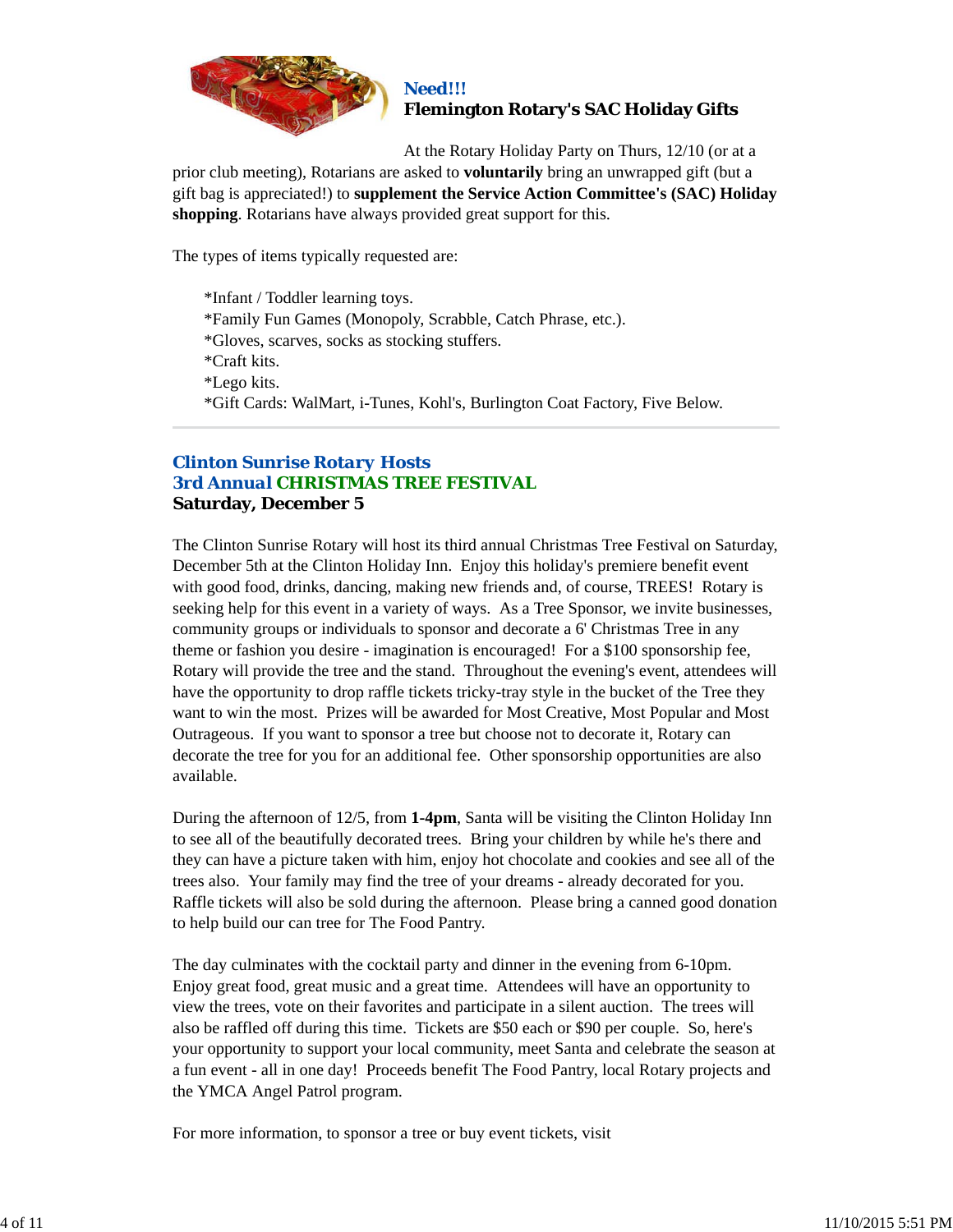

#### *Need!!!* **Flemington Rotary's SAC Holiday Gifts**

At the Rotary Holiday Party on Thurs, 12/10 (or at a prior club meeting), Rotarians are asked to **voluntarily** bring an unwrapped gift (but a gift bag is appreciated!) to **supplement the Service Action Committee's (SAC) Holiday shopping**. Rotarians have always provided great support for this.

The types of items typically requested are:

\*Infant / Toddler learning toys. \*Family Fun Games (Monopoly, Scrabble, Catch Phrase, etc.). \*Gloves, scarves, socks as stocking stuffers. \*Craft kits. \*Lego kits. \*Gift Cards: WalMart, i-Tunes, Kohl's, Burlington Coat Factory, Five Below.

## *Clinton Sunrise Rotary Hosts 3rd Annual CHRISTMAS TREE FESTIVAL* **Saturday, December 5**

The Clinton Sunrise Rotary will host its third annual Christmas Tree Festival on Saturday, December 5th at the Clinton Holiday Inn. Enjoy this holiday's premiere benefit event with good food, drinks, dancing, making new friends and, of course, TREES! Rotary is seeking help for this event in a variety of ways. As a Tree Sponsor, we invite businesses, community groups or individuals to sponsor and decorate a 6' Christmas Tree in any theme or fashion you desire - imagination is encouraged! For a \$100 sponsorship fee, Rotary will provide the tree and the stand. Throughout the evening's event, attendees will have the opportunity to drop raffle tickets tricky-tray style in the bucket of the Tree they want to win the most. Prizes will be awarded for Most Creative, Most Popular and Most Outrageous. If you want to sponsor a tree but choose not to decorate it, Rotary can decorate the tree for you for an additional fee. Other sponsorship opportunities are also available.

During the afternoon of 12/5, from **1-4pm**, Santa will be visiting the Clinton Holiday Inn to see all of the beautifully decorated trees. Bring your children by while he's there and they can have a picture taken with him, enjoy hot chocolate and cookies and see all of the trees also. Your family may find the tree of your dreams - already decorated for you. Raffle tickets will also be sold during the afternoon. Please bring a canned good donation to help build our can tree for The Food Pantry.

The day culminates with the cocktail party and dinner in the evening from 6-10pm. Enjoy great food, great music and a great time. Attendees will have an opportunity to view the trees, vote on their favorites and participate in a silent auction. The trees will also be raffled off during this time. Tickets are \$50 each or \$90 per couple. So, here's your opportunity to support your local community, meet Santa and celebrate the season at a fun event - all in one day! Proceeds benefit The Food Pantry, local Rotary projects and the YMCA Angel Patrol program.

For more information, to sponsor a tree or buy event tickets, visit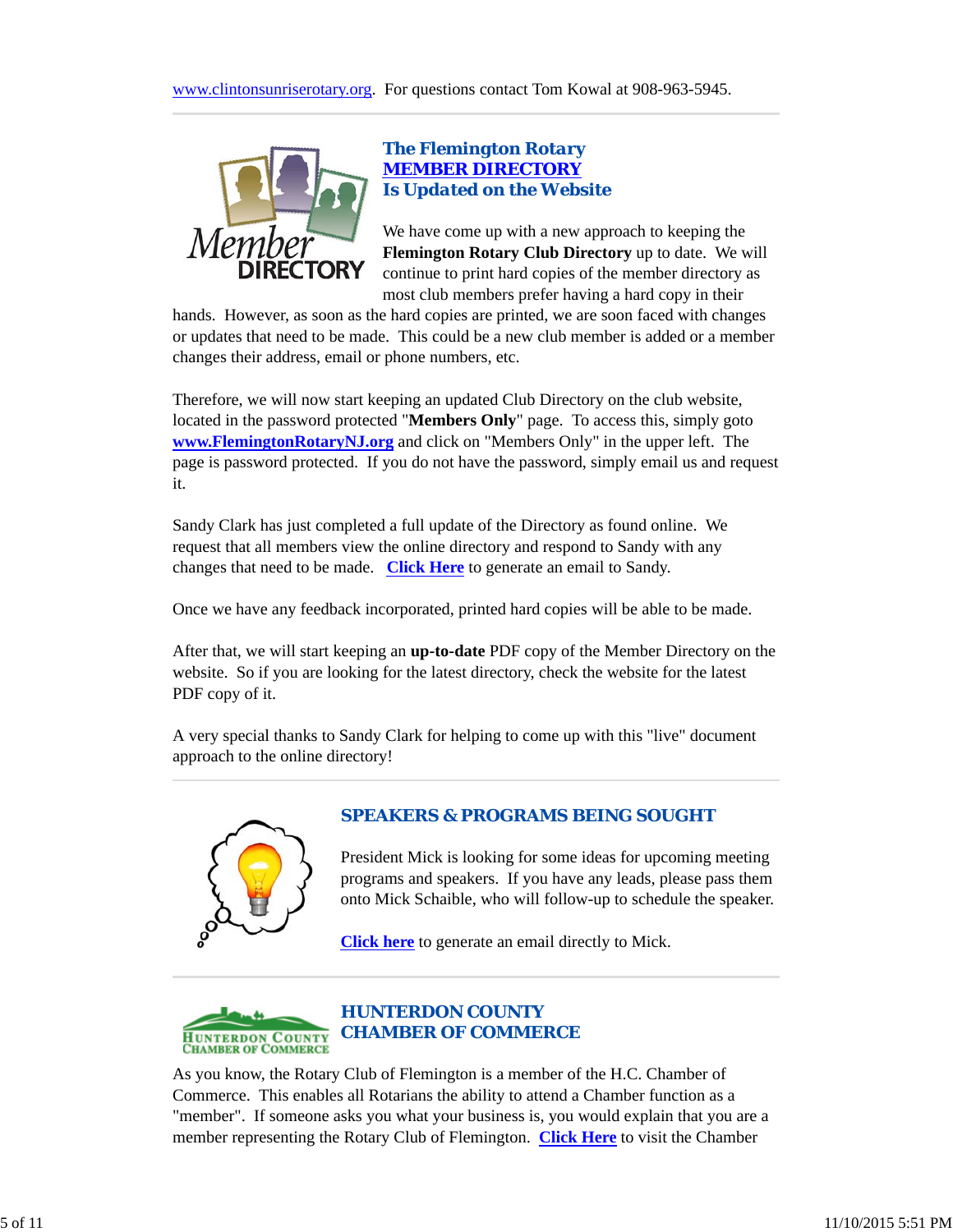

## *The Flemington Rotary MEMBER DIRECTORY Is Updated on the Website*

We have come up with a new approach to keeping the **Flemington Rotary Club Directory** up to date. We will continue to print hard copies of the member directory as most club members prefer having a hard copy in their

hands. However, as soon as the hard copies are printed, we are soon faced with changes or updates that need to be made. This could be a new club member is added or a member changes their address, email or phone numbers, etc.

Therefore, we will now start keeping an updated Club Directory on the club website, located in the password protected "**Members Only**" page. To access this, simply goto **www.FlemingtonRotaryNJ.org** and click on "Members Only" in the upper left. The page is password protected. If you do not have the password, simply email us and request it.

Sandy Clark has just completed a full update of the Directory as found online. We request that all members view the online directory and respond to Sandy with any changes that need to be made. **Click Here** to generate an email to Sandy.

Once we have any feedback incorporated, printed hard copies will be able to be made.

After that, we will start keeping an **up-to-date** PDF copy of the Member Directory on the website. So if you are looking for the latest directory, check the website for the latest PDF copy of it.

A very special thanks to Sandy Clark for helping to come up with this "live" document approach to the online directory!



## *SPEAKERS & PROGRAMS BEING SOUGHT*

President Mick is looking for some ideas for upcoming meeting programs and speakers. If you have any leads, please pass them onto Mick Schaible, who will follow-up to schedule the speaker.

**Click here** to generate an email directly to Mick.



As you know, the Rotary Club of Flemington is a member of the H.C. Chamber of Commerce. This enables all Rotarians the ability to attend a Chamber function as a "member". If someone asks you what your business is, you would explain that you are a member representing the Rotary Club of Flemington. **Click Here** to visit the Chamber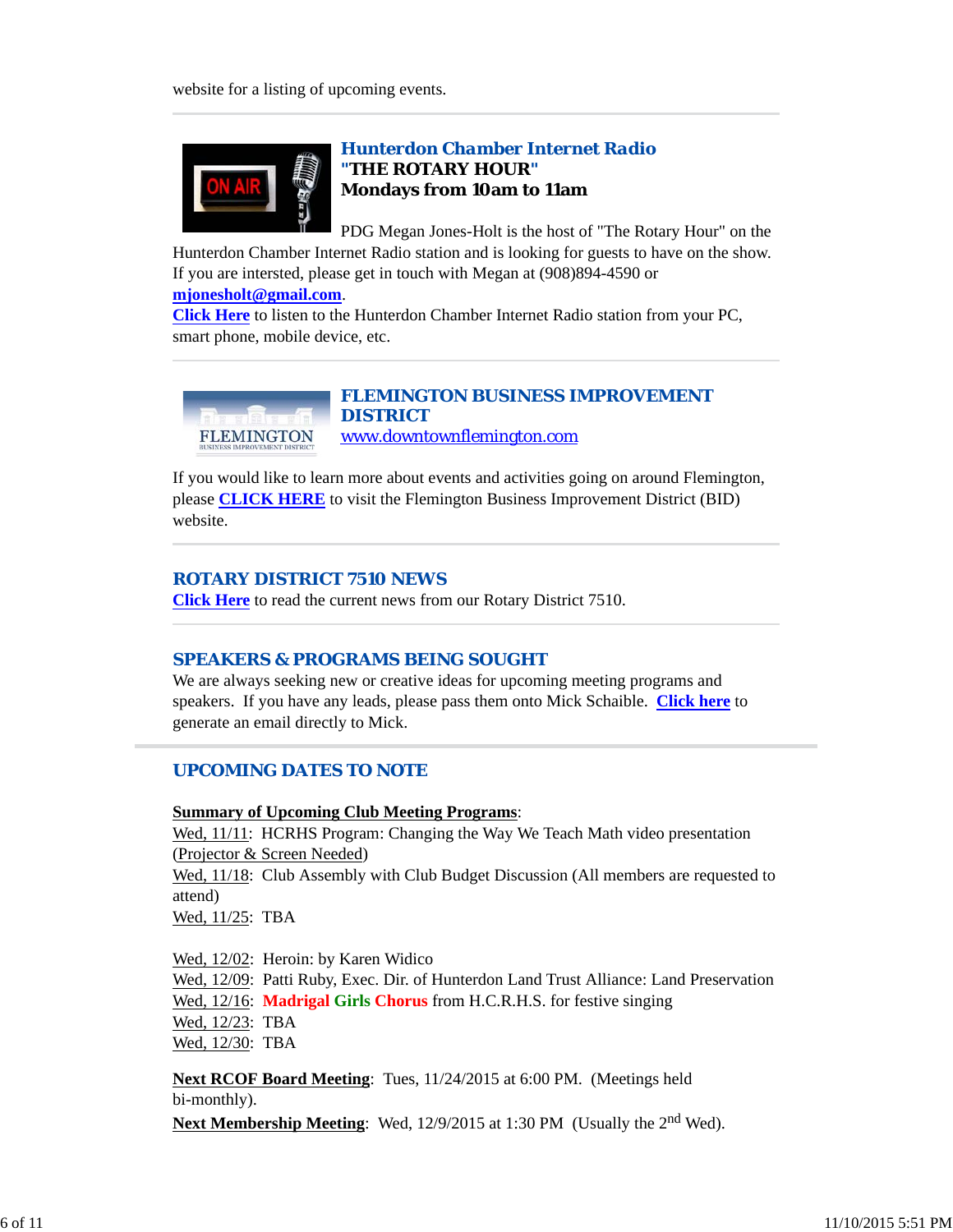

## *Hunterdon Chamber Internet Radio "THE ROTARY HOUR"* **Mondays from 10am to 11am**

PDG Megan Jones-Holt is the host of "The Rotary Hour" on the Hunterdon Chamber Internet Radio station and is looking for guests to have on the show. If you are intersted, please get in touch with Megan at (908)894-4590 or

**mjonesholt@gmail.com**.

**Click Here** to listen to the Hunterdon Chamber Internet Radio station from your PC, smart phone, mobile device, etc.



#### *FLEMINGTON BUSINESS IMPROVEMENT DISTRICT* www.downtownflemington.com

If you would like to learn more about events and activities going on around Flemington, please **CLICK HERE** to visit the Flemington Business Improvement District (BID) website.

#### *ROTARY DISTRICT 7510 NEWS*

**Click Here** to read the current news from our Rotary District 7510.

## *SPEAKERS & PROGRAMS BEING SOUGHT*

We are always seeking new or creative ideas for upcoming meeting programs and speakers. If you have any leads, please pass them onto Mick Schaible. **Click here** to generate an email directly to Mick.

## *UPCOMING DATES TO NOTE*

## **Summary of Upcoming Club Meeting Programs**:

Wed, 11/11: HCRHS Program: Changing the Way We Teach Math video presentation (Projector & Screen Needed) Wed,  $11/18$ : Club Assembly with Club Budget Discussion (All members are requested to attend) Wed, 11/25: TBA

Wed, 12/02: Heroin: by Karen Widico

Wed, 12/09: Patti Ruby, Exec. Dir. of Hunterdon Land Trust Alliance: Land Preservation Wed, 12/16: **Madrigal Girls Chorus** from H.C.R.H.S. for festive singing Wed, 12/23: TBA Wed, 12/30: TBA

**Next RCOF Board Meeting**: Tues, 11/24/2015 at 6:00 PM. (Meetings held bi-monthly).

Next Membership Meeting: Wed, 12/9/2015 at 1:30 PM (Usually the 2<sup>nd</sup> Wed).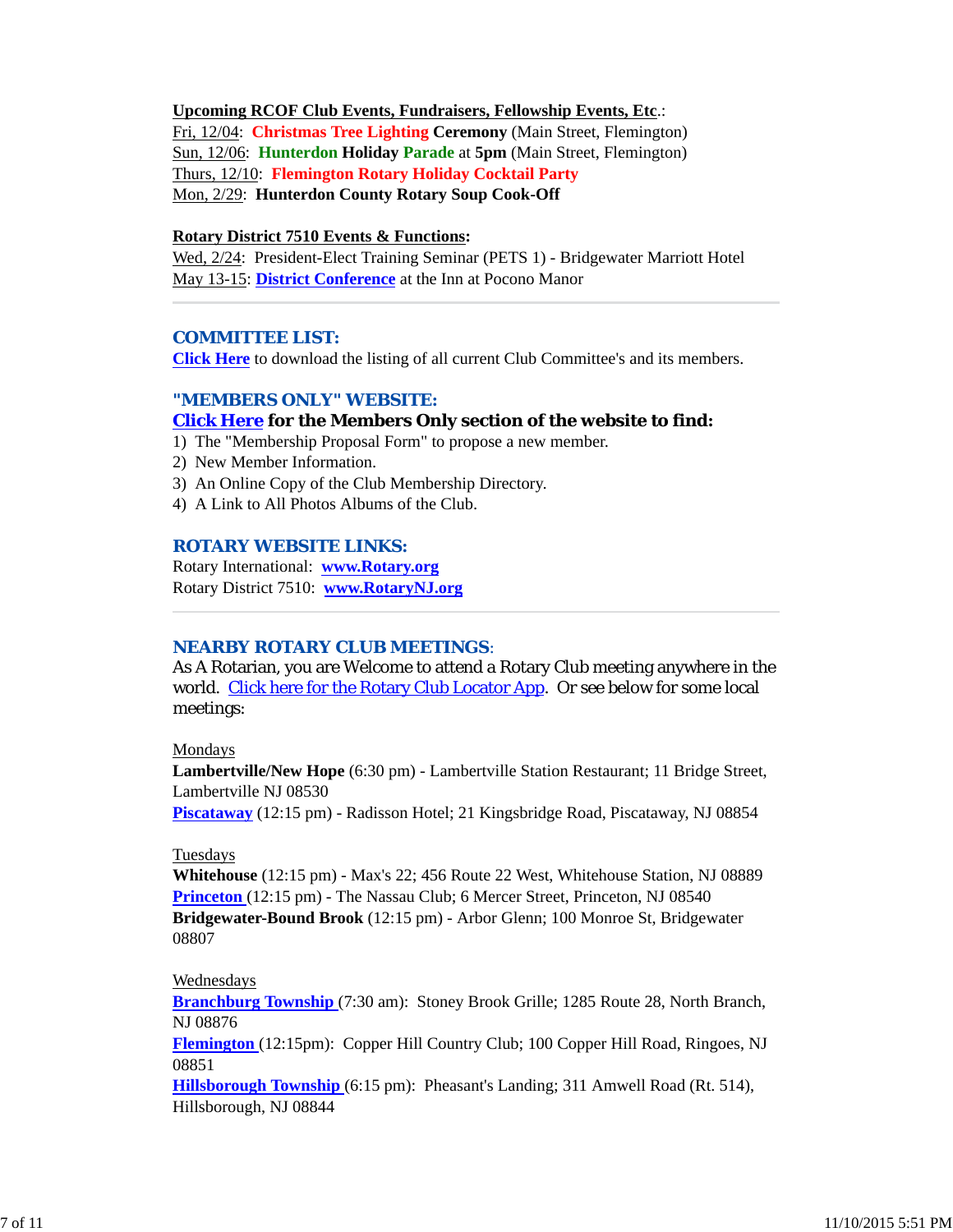#### **Upcoming RCOF Club Events, Fundraisers, Fellowship Events, Etc**.:

Fri, 12/04: **Christmas Tree Lighting Ceremony** (Main Street, Flemington) Sun, 12/06: **Hunterdon Holiday Parade** at **5pm** (Main Street, Flemington) Thurs, 12/10: **Flemington Rotary Holiday Cocktail Party** Mon, 2/29: **Hunterdon County Rotary Soup Cook-Off**

#### **Rotary District 7510 Events & Functions:**

Wed, 2/24: President-Elect Training Seminar (PETS 1) - Bridgewater Marriott Hotel May 13-15: **District Conference** at the Inn at Pocono Manor

#### *COMMITTEE LIST:*

**Click Here** to download the listing of all current Club Committee's and its members.

#### *"MEMBERS ONLY" WEBSITE:*

#### **Click Here for the Members Only section of the website to find:**

- 1) The "Membership Proposal Form" to propose a new member.
- 2) New Member Information.
- 3) An Online Copy of the Club Membership Directory.
- 4) A Link to All Photos Albums of the Club.

#### *ROTARY WEBSITE LINKS:*

Rotary International: **www.Rotary.org** Rotary District 7510: **www.RotaryNJ.org**

#### *NEARBY ROTARY CLUB MEETINGS:*

As A Rotarian, you are Welcome to attend a Rotary Club meeting anywhere in the world. Click here for the Rotary Club Locator App. Or see below for some local meetings:

#### Mondays

**Lambertville/New Hope** (6:30 pm) - Lambertville Station Restaurant; 11 Bridge Street, Lambertville NJ 08530

**Piscataway** (12:15 pm) - Radisson Hotel; 21 Kingsbridge Road, Piscataway, NJ 08854

#### Tuesdays

**Whitehouse** (12:15 pm) - Max's 22; 456 Route 22 West, Whitehouse Station, NJ 08889 **Princeton** (12:15 pm) - The Nassau Club; 6 Mercer Street, Princeton, NJ 08540 **Bridgewater-Bound Brook** (12:15 pm) - Arbor Glenn; 100 Monroe St, Bridgewater 08807

#### Wednesdays

**Branchburg Township** (7:30 am): Stoney Brook Grille; 1285 Route 28, North Branch, NJ 08876

**Flemington** (12:15pm): Copper Hill Country Club; 100 Copper Hill Road, Ringoes, NJ 08851

**Hillsborough Township** (6:15 pm): Pheasant's Landing; 311 Amwell Road (Rt. 514), Hillsborough, NJ 08844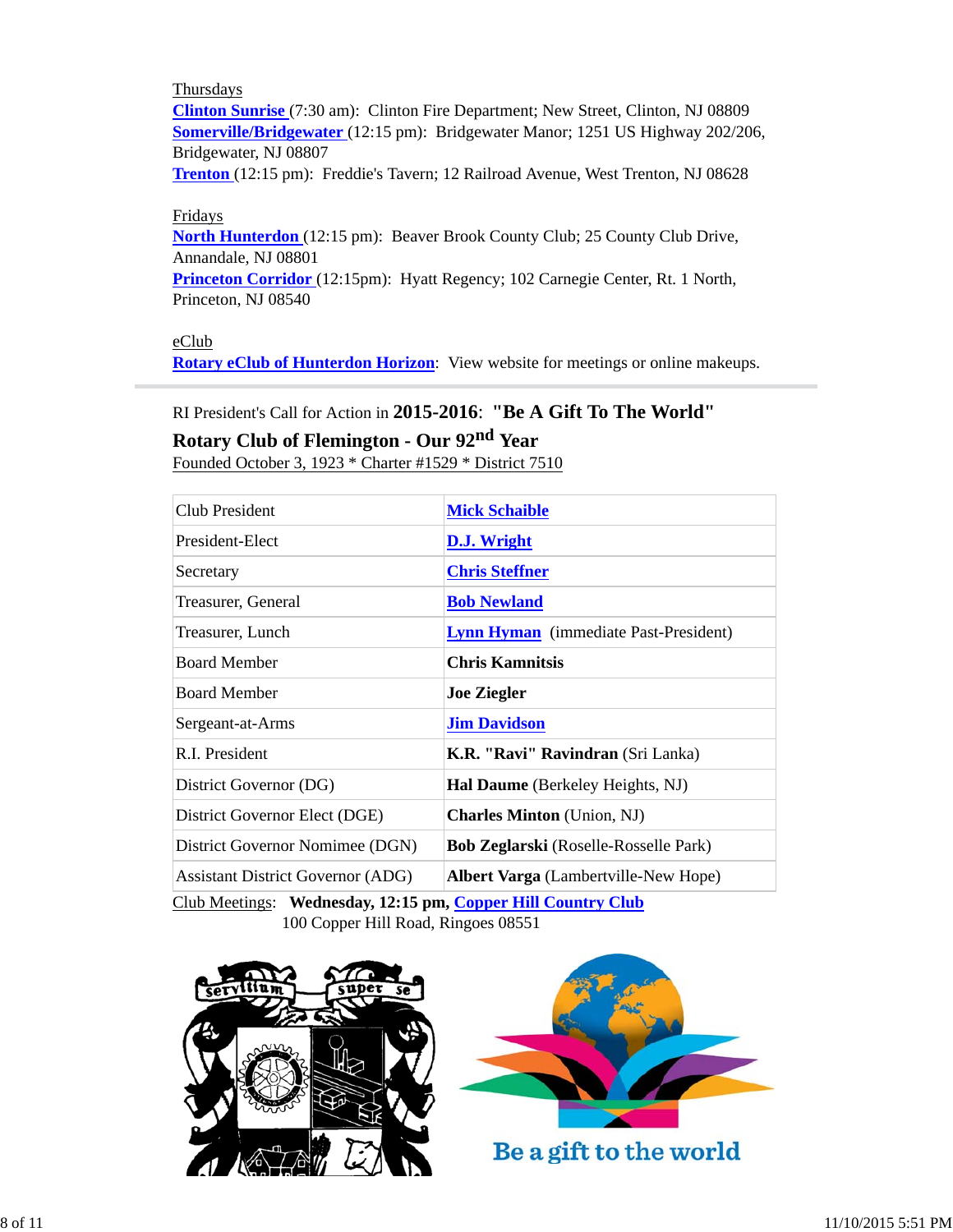## **Thursdays**

**Clinton Sunrise** (7:30 am): Clinton Fire Department; New Street, Clinton, NJ 08809 **Somerville/Bridgewater** (12:15 pm): Bridgewater Manor; 1251 US Highway 202/206, Bridgewater, NJ 08807

**Trenton** (12:15 pm): Freddie's Tavern; 12 Railroad Avenue, West Trenton, NJ 08628

#### Fridays

**North Hunterdon** (12:15 pm): Beaver Brook County Club; 25 County Club Drive, Annandale, NJ 08801

**Princeton Corridor** (12:15pm): Hyatt Regency; 102 Carnegie Center, Rt. 1 North, Princeton, NJ 08540

## eClub

**Rotary eClub of Hunterdon Horizon**: View website for meetings or online makeups.

## RI President's Call for Action in **2015-2016**: **"Be A Gift To The World"**

## **Rotary Club of Flemington - Our 92nd Year**

Founded October 3, 1923 \* Charter #1529 \* District 7510

| <b>Mick Schaible</b>                         |
|----------------------------------------------|
| D.J. Wright                                  |
| <b>Chris Steffner</b>                        |
| <b>Bob Newland</b>                           |
| <b>Lynn Hyman</b> (immediate Past-President) |
| <b>Chris Kamnitsis</b>                       |
| <b>Joe Ziegler</b>                           |
| <b>Jim Davidson</b>                          |
| K.R. "Ravi" Ravindran (Sri Lanka)            |
| <b>Hal Daume</b> (Berkeley Heights, NJ)      |
| <b>Charles Minton</b> (Union, NJ)            |
| <b>Bob Zeglarski</b> (Roselle-Rosselle Park) |
| <b>Albert Varga</b> (Lambertville-New Hope)  |
|                                              |

Club Meetings: **Wednesday, 12:15 pm, Copper Hill Country Club** 100 Copper Hill Road, Ringoes 08551





Be a gift to the world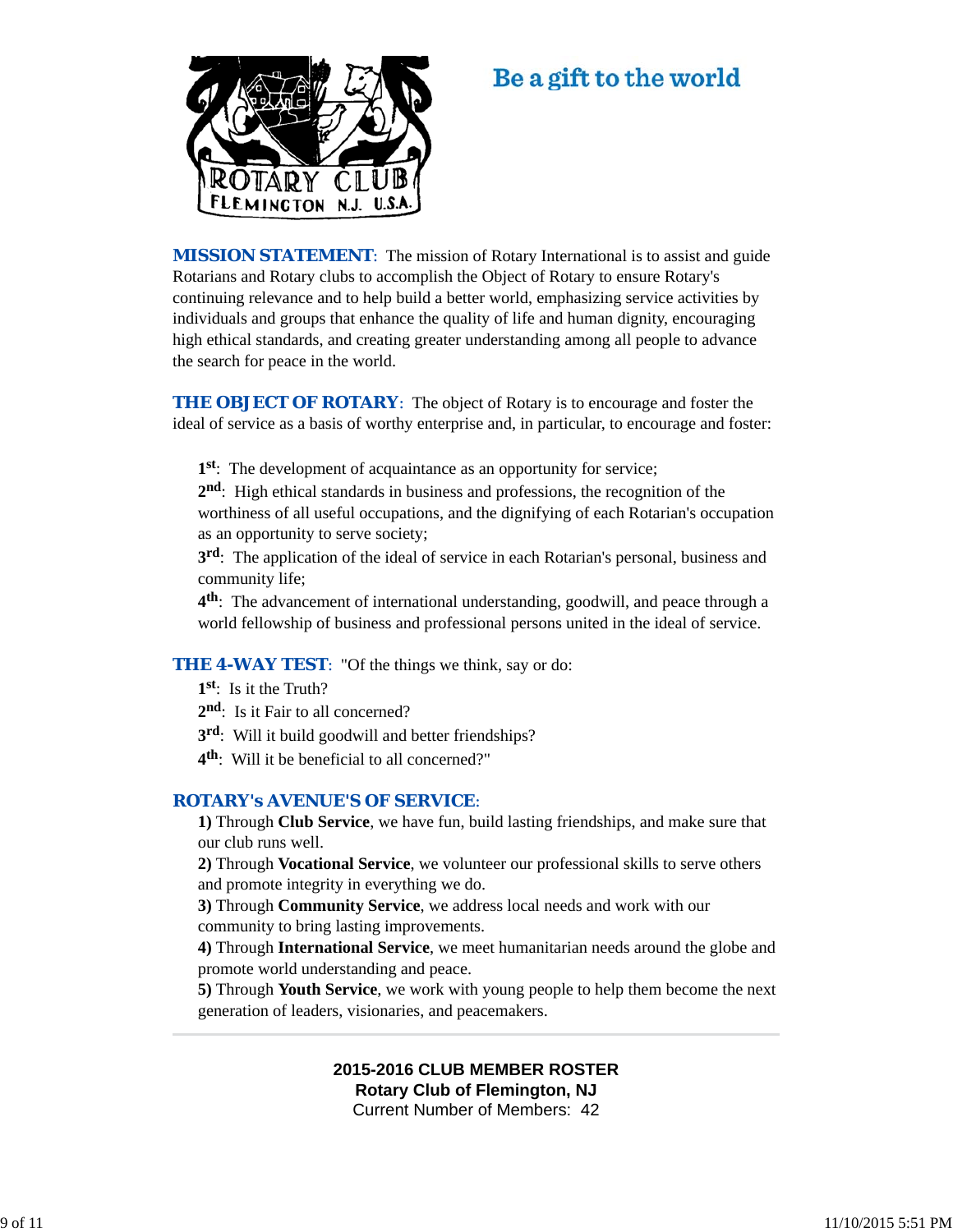

# Be a gift to the world

**MISSION STATEMENT:** The mission of Rotary International is to assist and guide Rotarians and Rotary clubs to accomplish the Object of Rotary to ensure Rotary's continuing relevance and to help build a better world, emphasizing service activities by individuals and groups that enhance the quality of life and human dignity, encouraging high ethical standards, and creating greater understanding among all people to advance the search for peace in the world.

**THE OBJECT OF ROTARY:** The object of Rotary is to encourage and foster the ideal of service as a basis of worthy enterprise and, in particular, to encourage and foster:

**1st**: The development of acquaintance as an opportunity for service;

**2nd**: High ethical standards in business and professions, the recognition of the worthiness of all useful occupations, and the dignifying of each Rotarian's occupation as an opportunity to serve society;

**3rd**: The application of the ideal of service in each Rotarian's personal, business and community life;

**4th**: The advancement of international understanding, goodwill, and peace through a world fellowship of business and professional persons united in the ideal of service.

**THE 4-WAY TEST:** "Of the things we think, say or do:

**1st**: Is it the Truth?

- 2<sup>nd</sup>: Is it Fair to all concerned?
- **3rd**: Will it build goodwill and better friendships?
- **4th**: Will it be beneficial to all concerned?"

#### *ROTARY's AVENUE'S OF SERVICE*:

**1)** Through **Club Service**, we have fun, build lasting friendships, and make sure that our club runs well.

**2)** Through **Vocational Service**, we volunteer our professional skills to serve others and promote integrity in everything we do.

**3)** Through **Community Service**, we address local needs and work with our community to bring lasting improvements.

**4)** Through **International Service**, we meet humanitarian needs around the globe and promote world understanding and peace.

**5)** Through **Youth Service**, we work with young people to help them become the next generation of leaders, visionaries, and peacemakers.

#### **2015-2016 CLUB MEMBER ROSTER Rotary Club of Flemington, NJ**

Current Number of Members: 42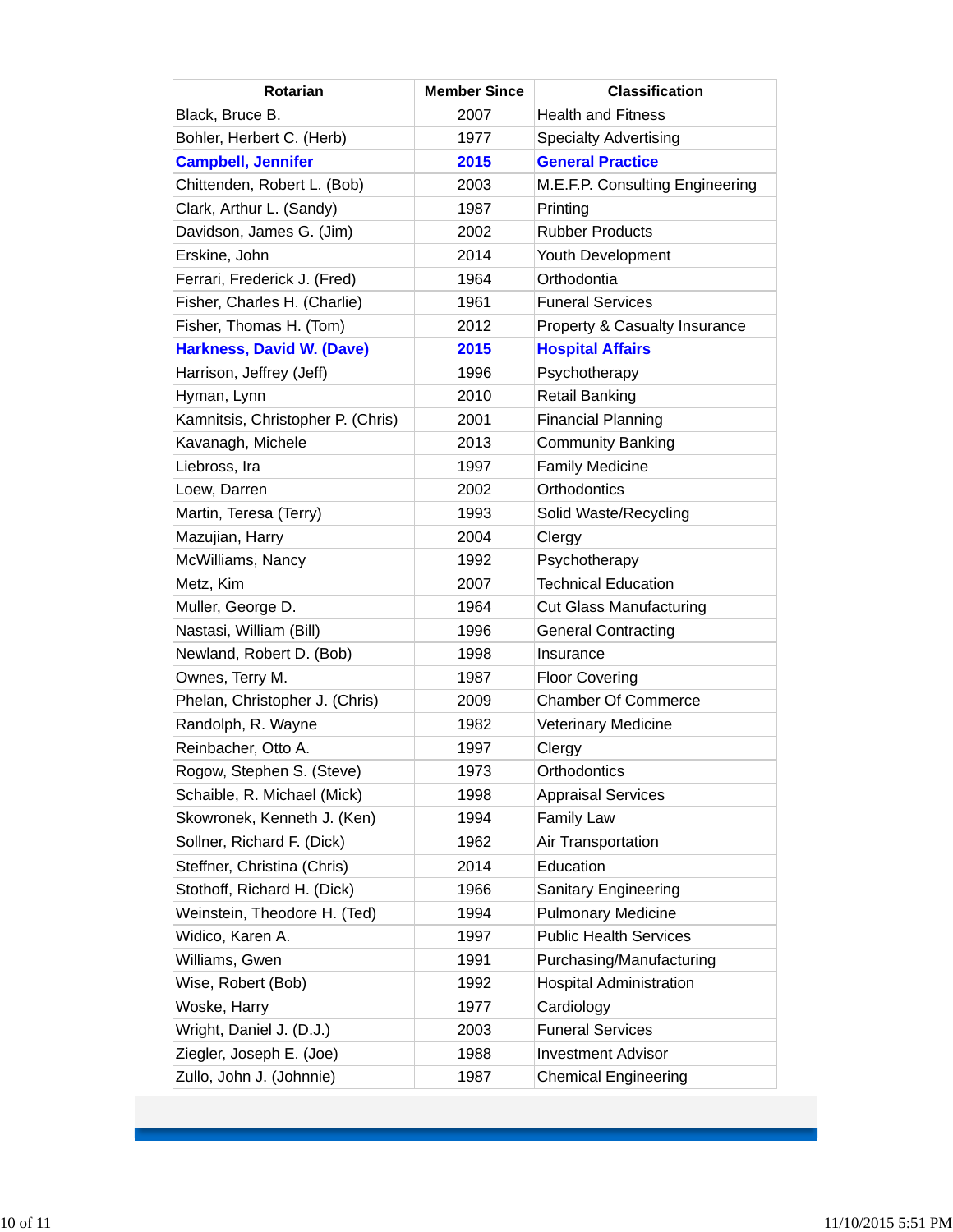| Rotarian                          | <b>Member Since</b> | <b>Classification</b>           |
|-----------------------------------|---------------------|---------------------------------|
| Black, Bruce B.                   | 2007                | <b>Health and Fitness</b>       |
| Bohler, Herbert C. (Herb)         | 1977                | <b>Specialty Advertising</b>    |
| <b>Campbell, Jennifer</b>         | 2015                | <b>General Practice</b>         |
| Chittenden, Robert L. (Bob)       | 2003                | M.E.F.P. Consulting Engineering |
| Clark, Arthur L. (Sandy)          | 1987                | Printing                        |
| Davidson, James G. (Jim)          | 2002                | <b>Rubber Products</b>          |
| Erskine, John                     | 2014                | Youth Development               |
| Ferrari, Frederick J. (Fred)      | 1964                | Orthodontia                     |
| Fisher, Charles H. (Charlie)      | 1961                | <b>Funeral Services</b>         |
| Fisher, Thomas H. (Tom)           | 2012                | Property & Casualty Insurance   |
| <b>Harkness, David W. (Dave)</b>  | 2015                | <b>Hospital Affairs</b>         |
| Harrison, Jeffrey (Jeff)          | 1996                | Psychotherapy                   |
| Hyman, Lynn                       | 2010                | <b>Retail Banking</b>           |
| Kamnitsis, Christopher P. (Chris) | 2001                | <b>Financial Planning</b>       |
| Kavanagh, Michele                 | 2013                | <b>Community Banking</b>        |
| Liebross, Ira                     | 1997                | <b>Family Medicine</b>          |
| Loew, Darren                      | 2002                | Orthodontics                    |
| Martin, Teresa (Terry)            | 1993                | Solid Waste/Recycling           |
| Mazujian, Harry                   | 2004                | Clergy                          |
| McWilliams, Nancy                 | 1992                | Psychotherapy                   |
| Metz, Kim                         | 2007                | <b>Technical Education</b>      |
| Muller, George D.                 | 1964                | <b>Cut Glass Manufacturing</b>  |
| Nastasi, William (Bill)           | 1996                | <b>General Contracting</b>      |
| Newland, Robert D. (Bob)          | 1998                | Insurance                       |
| Ownes, Terry M.                   | 1987                | <b>Floor Covering</b>           |
| Phelan, Christopher J. (Chris)    | 2009                | <b>Chamber Of Commerce</b>      |
| Randolph, R. Wayne                | 1982                | <b>Veterinary Medicine</b>      |
| Reinbacher, Otto A.               | 1997                | Clergy                          |
| Rogow, Stephen S. (Steve)         | 1973                | Orthodontics                    |
| Schaible, R. Michael (Mick)       | 1998                | <b>Appraisal Services</b>       |
| Skowronek, Kenneth J. (Ken)       | 1994                | <b>Family Law</b>               |
| Sollner, Richard F. (Dick)        | 1962                | Air Transportation              |
| Steffner, Christina (Chris)       | 2014                | Education                       |
| Stothoff, Richard H. (Dick)       | 1966                | <b>Sanitary Engineering</b>     |
| Weinstein, Theodore H. (Ted)      | 1994                | <b>Pulmonary Medicine</b>       |
| Widico, Karen A.                  | 1997                | <b>Public Health Services</b>   |
| Williams, Gwen                    | 1991                | Purchasing/Manufacturing        |
| Wise, Robert (Bob)                | 1992                | <b>Hospital Administration</b>  |
| Woske, Harry                      | 1977                | Cardiology                      |
| Wright, Daniel J. (D.J.)          | 2003                | <b>Funeral Services</b>         |
| Ziegler, Joseph E. (Joe)          | 1988                | <b>Investment Advisor</b>       |
| Zullo, John J. (Johnnie)          | 1987                | <b>Chemical Engineering</b>     |